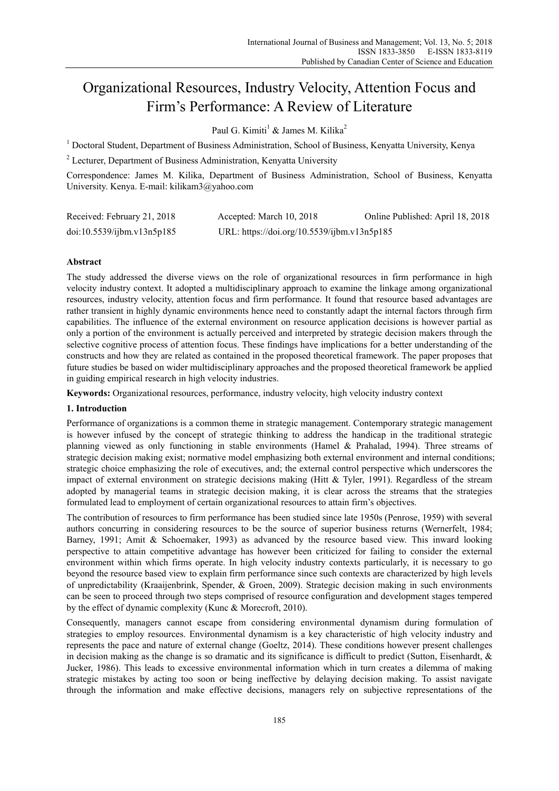# Organizational Resources, Industry Velocity, Attention Focus and Firm's Performance: A Review of Literature

Paul G. Kimiti<sup>1</sup> & James M. Kilika<sup>2</sup>

<sup>1</sup> Doctoral Student, Department of Business Administration, School of Business, Kenyatta University, Kenya

 $2$  Lecturer, Department of Business Administration, Kenyatta University

Correspondence: James M. Kilika, Department of Business Administration, School of Business, Kenyatta University. Kenya. E-mail: kilikam3@yahoo.com

| Received: February 21, 2018 | Accepted: March 10, 2018                    | Online Published: April 18, 2018 |
|-----------------------------|---------------------------------------------|----------------------------------|
| doi:10.5539/jbm.v13n5p185   | URL: https://doi.org/10.5539/ijbm.v13n5p185 |                                  |

# **Abstract**

The study addressed the diverse views on the role of organizational resources in firm performance in high velocity industry context. It adopted a multidisciplinary approach to examine the linkage among organizational resources, industry velocity, attention focus and firm performance. It found that resource based advantages are rather transient in highly dynamic environments hence need to constantly adapt the internal factors through firm capabilities. The influence of the external environment on resource application decisions is however partial as only a portion of the environment is actually perceived and interpreted by strategic decision makers through the selective cognitive process of attention focus. These findings have implications for a better understanding of the constructs and how they are related as contained in the proposed theoretical framework. The paper proposes that future studies be based on wider multidisciplinary approaches and the proposed theoretical framework be applied in guiding empirical research in high velocity industries.

**Keywords:** Organizational resources, performance, industry velocity, high velocity industry context

## **1. Introduction**

Performance of organizations is a common theme in strategic management. Contemporary strategic management is however infused by the concept of strategic thinking to address the handicap in the traditional strategic planning viewed as only functioning in stable environments (Hamel & Prahalad, 1994). Three streams of strategic decision making exist; normative model emphasizing both external environment and internal conditions; strategic choice emphasizing the role of executives, and; the external control perspective which underscores the impact of external environment on strategic decisions making (Hitt & Tyler, 1991). Regardless of the stream adopted by managerial teams in strategic decision making, it is clear across the streams that the strategies formulated lead to employment of certain organizational resources to attain firm's objectives.

The contribution of resources to firm performance has been studied since late 1950s (Penrose, 1959) with several authors concurring in considering resources to be the source of superior business returns (Wernerfelt, 1984; Barney, 1991; Amit & Schoemaker, 1993) as advanced by the resource based view. This inward looking perspective to attain competitive advantage has however been criticized for failing to consider the external environment within which firms operate. In high velocity industry contexts particularly, it is necessary to go beyond the resource based view to explain firm performance since such contexts are characterized by high levels of unpredictability (Kraaijenbrink, Spender, & Groen, 2009). Strategic decision making in such environments can be seen to proceed through two steps comprised of resource configuration and development stages tempered by the effect of dynamic complexity (Kunc & Morecroft, 2010).

Consequently, managers cannot escape from considering environmental dynamism during formulation of strategies to employ resources. Environmental dynamism is a key characteristic of high velocity industry and represents the pace and nature of external change (Goeltz, 2014). These conditions however present challenges in decision making as the change is so dramatic and its significance is difficult to predict (Sutton, Eisenhardt, & Jucker, 1986). This leads to excessive environmental information which in turn creates a dilemma of making strategic mistakes by acting too soon or being ineffective by delaying decision making. To assist navigate through the information and make effective decisions, managers rely on subjective representations of the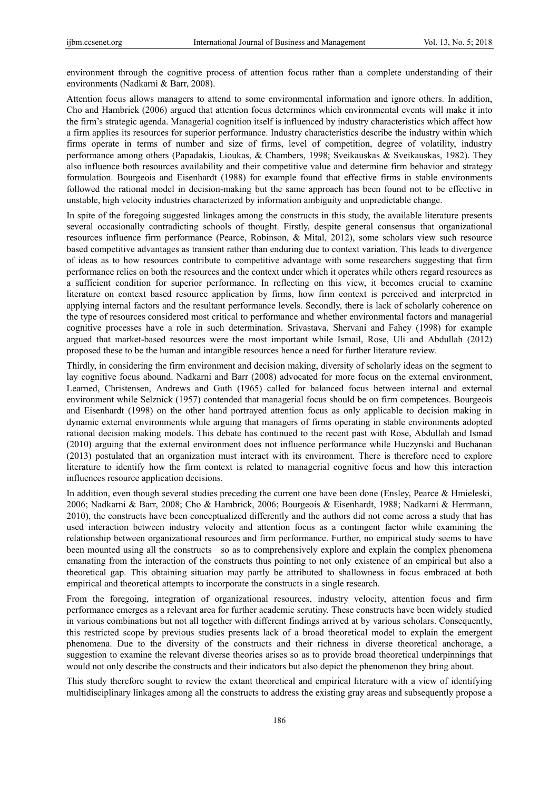environment through the cognitive process of attention focus rather than a complete understanding of their environments (Nadkarni & Barr, 2008).

Attention focus allows managers to attend to some environmental information and ignore others. In addition, Cho and Hambrick (2006) argued that attention focus determines which environmental events will make it into the firm's strategic agenda. Managerial cognition itself is influenced by industry characteristics which affect how a firm applies its resources for superior performance. Industry characteristics describe the industry within which firms operate in terms of number and size of firms, level of competition, degree of volatility, industry performance among others (Papadakis, Lioukas, & Chambers, 1998; Sveikauskas & Sveikauskas, 1982). They also influence both resources availability and their competitive value and determine firm behavior and strategy formulation. Bourgeois and Eisenhardt (1988) for example found that effective firms in stable environments followed the rational model in decision-making but the same approach has been found not to be effective in unstable, high velocity industries characterized by information ambiguity and unpredictable change.

In spite of the foregoing suggested linkages among the constructs in this study, the available literature presents several occasionally contradicting schools of thought. Firstly, despite general consensus that organizational resources influence firm performance (Pearce, Robinson, & Mital, 2012), some scholars view such resource based competitive advantages as transient rather than enduring due to context variation. This leads to divergence of ideas as to how resources contribute to competitive advantage with some researchers suggesting that firm performance relies on both the resources and the context under which it operates while others regard resources as a sufficient condition for superior performance. In reflecting on this view, it becomes crucial to examine literature on context based resource application by firms, how firm context is perceived and interpreted in applying internal factors and the resultant performance levels. Secondly, there is lack of scholarly coherence on the type of resources considered most critical to performance and whether environmental factors and managerial cognitive processes have a role in such determination. Srivastava, Shervani and Fahey (1998) for example argued that market-based resources were the most important while Ismail, Rose, Uli and Abdullah (2012) proposed these to be the human and intangible resources hence a need for further literature review.

Thirdly, in considering the firm environment and decision making, diversity of scholarly ideas on the segment to lay cognitive focus abound. Nadkarni and Barr (2008) advocated for more focus on the external environment, Learned, Christensen, Andrews and Guth (1965) called for balanced focus between internal and external environment while Selznick (1957) contended that managerial focus should be on firm competences. Bourgeois and Eisenhardt (1998) on the other hand portrayed attention focus as only applicable to decision making in dynamic external environments while arguing that managers of firms operating in stable environments adopted rational decision making models. This debate has continued to the recent past with Rose, Abdullah and Ismad (2010) arguing that the external environment does not influence performance while Huczynski and Buchanan (2013) postulated that an organization must interact with its environment. There is therefore need to explore literature to identify how the firm context is related to managerial cognitive focus and how this interaction influences resource application decisions.

In addition, even though several studies preceding the current one have been done (Ensley, Pearce & Hmieleski, 2006; Nadkarni & Barr, 2008; Cho & Hambrick, 2006; Bourgeois & Eisenhardt, 1988; Nadkarni & Herrmann, 2010), the constructs have been conceptualized differently and the authors did not come across a study that has used interaction between industry velocity and attention focus as a contingent factor while examining the relationship between organizational resources and firm performance. Further, no empirical study seems to have been mounted using all the constructs so as to comprehensively explore and explain the complex phenomena emanating from the interaction of the constructs thus pointing to not only existence of an empirical but also a theoretical gap. This obtaining situation may partly be attributed to shallowness in focus embraced at both empirical and theoretical attempts to incorporate the constructs in a single research.

From the foregoing, integration of organizational resources, industry velocity, attention focus and firm performance emerges as a relevant area for further academic scrutiny. These constructs have been widely studied in various combinations but not all together with different findings arrived at by various scholars. Consequently, this restricted scope by previous studies presents lack of a broad theoretical model to explain the emergent phenomena. Due to the diversity of the constructs and their richness in diverse theoretical anchorage, a suggestion to examine the relevant diverse theories arises so as to provide broad theoretical underpinnings that would not only describe the constructs and their indicators but also depict the phenomenon they bring about.

This study therefore sought to review the extant theoretical and empirical literature with a view of identifying multidisciplinary linkages among all the constructs to address the existing gray areas and subsequently propose a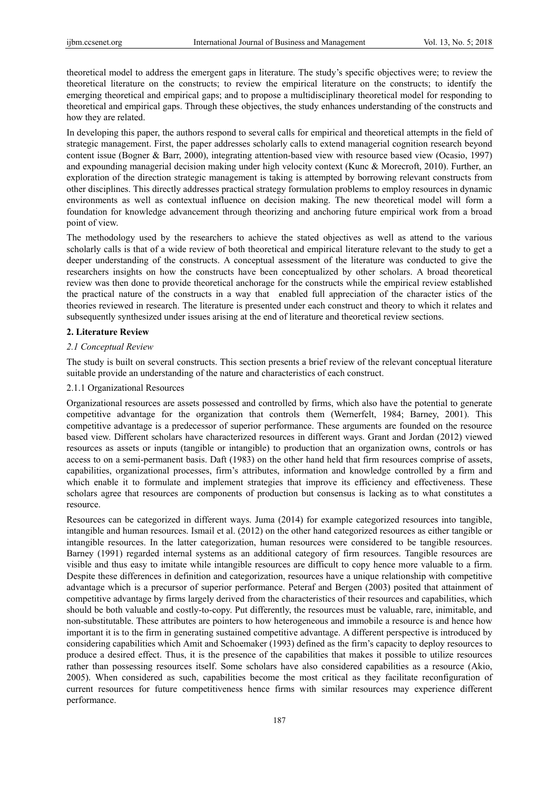theoretical model to address the emergent gaps in literature. The study's specific objectives were; to review the theoretical literature on the constructs; to review the empirical literature on the constructs; to identify the emerging theoretical and empirical gaps; and to propose a multidisciplinary theoretical model for responding to theoretical and empirical gaps. Through these objectives, the study enhances understanding of the constructs and how they are related.

In developing this paper, the authors respond to several calls for empirical and theoretical attempts in the field of strategic management. First, the paper addresses scholarly calls to extend managerial cognition research beyond content issue (Bogner & Barr, 2000), integrating attention-based view with resource based view (Ocasio, 1997) and expounding managerial decision making under high velocity context (Kunc & Morecroft, 2010). Further, an exploration of the direction strategic management is taking is attempted by borrowing relevant constructs from other disciplines. This directly addresses practical strategy formulation problems to employ resources in dynamic environments as well as contextual influence on decision making. The new theoretical model will form a foundation for knowledge advancement through theorizing and anchoring future empirical work from a broad point of view.

The methodology used by the researchers to achieve the stated objectives as well as attend to the various scholarly calls is that of a wide review of both theoretical and empirical literature relevant to the study to get a deeper understanding of the constructs. A conceptual assessment of the literature was conducted to give the researchers insights on how the constructs have been conceptualized by other scholars. A broad theoretical review was then done to provide theoretical anchorage for the constructs while the empirical review established the practical nature of the constructs in a way that enabled full appreciation of the character istics of the theories reviewed in research. The literature is presented under each construct and theory to which it relates and subsequently synthesized under issues arising at the end of literature and theoretical review sections.

#### **2. Literature Review**

#### *2.1 Conceptual Review*

The study is built on several constructs. This section presents a brief review of the relevant conceptual literature suitable provide an understanding of the nature and characteristics of each construct.

## 2.1.1 Organizational Resources

Organizational resources are assets possessed and controlled by firms, which also have the potential to generate competitive advantage for the organization that controls them (Wernerfelt, 1984; Barney, 2001). This competitive advantage is a predecessor of superior performance. These arguments are founded on the resource based view. Different scholars have characterized resources in different ways. Grant and Jordan (2012) viewed resources as assets or inputs (tangible or intangible) to production that an organization owns, controls or has access to on a semi-permanent basis. Daft (1983) on the other hand held that firm resources comprise of assets, capabilities, organizational processes, firm's attributes, information and knowledge controlled by a firm and which enable it to formulate and implement strategies that improve its efficiency and effectiveness. These scholars agree that resources are components of production but consensus is lacking as to what constitutes a resource.

Resources can be categorized in different ways. Juma (2014) for example categorized resources into tangible, intangible and human resources. Ismail et al. (2012) on the other hand categorized resources as either tangible or intangible resources. In the latter categorization, human resources were considered to be tangible resources. Barney (1991) regarded internal systems as an additional category of firm resources. Tangible resources are visible and thus easy to imitate while intangible resources are difficult to copy hence more valuable to a firm. Despite these differences in definition and categorization, resources have a unique relationship with competitive advantage which is a precursor of superior performance. Peteraf and Bergen (2003) posited that attainment of competitive advantage by firms largely derived from the characteristics of their resources and capabilities, which should be both valuable and costly-to-copy. Put differently, the resources must be valuable, rare, inimitable, and non-substitutable. These attributes are pointers to how heterogeneous and immobile a resource is and hence how important it is to the firm in generating sustained competitive advantage. A different perspective is introduced by considering capabilities which Amit and Schoemaker (1993) defined as the firm's capacity to deploy resources to produce a desired effect. Thus, it is the presence of the capabilities that makes it possible to utilize resources rather than possessing resources itself. Some scholars have also considered capabilities as a resource (Akio, 2005). When considered as such, capabilities become the most critical as they facilitate reconfiguration of current resources for future competitiveness hence firms with similar resources may experience different performance.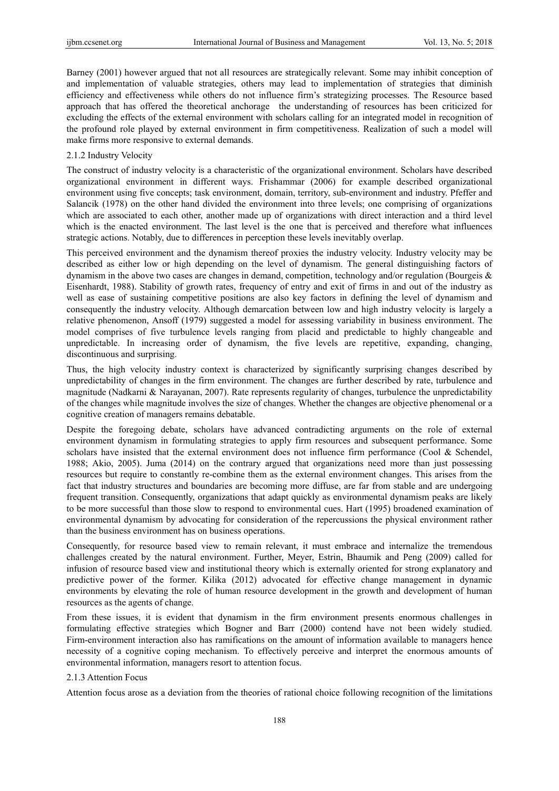Barney (2001) however argued that not all resources are strategically relevant. Some may inhibit conception of and implementation of valuable strategies, others may lead to implementation of strategies that diminish efficiency and effectiveness while others do not influence firm's strategizing processes. The Resource based approach that has offered the theoretical anchorage the understanding of resources has been criticized for excluding the effects of the external environment with scholars calling for an integrated model in recognition of the profound role played by external environment in firm competitiveness. Realization of such a model will make firms more responsive to external demands.

# 2.1.2 Industry Velocity

The construct of industry velocity is a characteristic of the organizational environment. Scholars have described organizational environment in different ways. Frishammar (2006) for example described organizational environment using five concepts; task environment, domain, territory, sub-environment and industry. Pfeffer and Salancik (1978) on the other hand divided the environment into three levels; one comprising of organizations which are associated to each other, another made up of organizations with direct interaction and a third level which is the enacted environment. The last level is the one that is perceived and therefore what influences strategic actions. Notably, due to differences in perception these levels inevitably overlap.

This perceived environment and the dynamism thereof proxies the industry velocity. Industry velocity may be described as either low or high depending on the level of dynamism. The general distinguishing factors of dynamism in the above two cases are changes in demand, competition, technology and/or regulation (Bourgeis & Eisenhardt, 1988). Stability of growth rates, frequency of entry and exit of firms in and out of the industry as well as ease of sustaining competitive positions are also key factors in defining the level of dynamism and consequently the industry velocity. Although demarcation between low and high industry velocity is largely a relative phenomenon, Ansoff (1979) suggested a model for assessing variability in business environment. The model comprises of five turbulence levels ranging from placid and predictable to highly changeable and unpredictable. In increasing order of dynamism, the five levels are repetitive, expanding, changing, discontinuous and surprising.

Thus, the high velocity industry context is characterized by significantly surprising changes described by unpredictability of changes in the firm environment. The changes are further described by rate, turbulence and magnitude (Nadkarni & Narayanan, 2007). Rate represents regularity of changes, turbulence the unpredictability of the changes while magnitude involves the size of changes. Whether the changes are objective phenomenal or a cognitive creation of managers remains debatable.

Despite the foregoing debate, scholars have advanced contradicting arguments on the role of external environment dynamism in formulating strategies to apply firm resources and subsequent performance. Some scholars have insisted that the external environment does not influence firm performance (Cool & Schendel, 1988; Akio, 2005). Juma (2014) on the contrary argued that organizations need more than just possessing resources but require to constantly re-combine them as the external environment changes. This arises from the fact that industry structures and boundaries are becoming more diffuse, are far from stable and are undergoing frequent transition. Consequently, organizations that adapt quickly as environmental dynamism peaks are likely to be more successful than those slow to respond to environmental cues. Hart (1995) broadened examination of environmental dynamism by advocating for consideration of the repercussions the physical environment rather than the business environment has on business operations.

Consequently, for resource based view to remain relevant, it must embrace and internalize the tremendous challenges created by the natural environment. Further, Meyer, Estrin, Bhaumik and Peng (2009) called for infusion of resource based view and institutional theory which is externally oriented for strong explanatory and predictive power of the former. Kilika (2012) advocated for effective change management in dynamic environments by elevating the role of human resource development in the growth and development of human resources as the agents of change.

From these issues, it is evident that dynamism in the firm environment presents enormous challenges in formulating effective strategies which Bogner and Barr (2000) contend have not been widely studied. Firm-environment interaction also has ramifications on the amount of information available to managers hence necessity of a cognitive coping mechanism. To effectively perceive and interpret the enormous amounts of environmental information, managers resort to attention focus.

## 2.1.3 Attention Focus

Attention focus arose as a deviation from the theories of rational choice following recognition of the limitations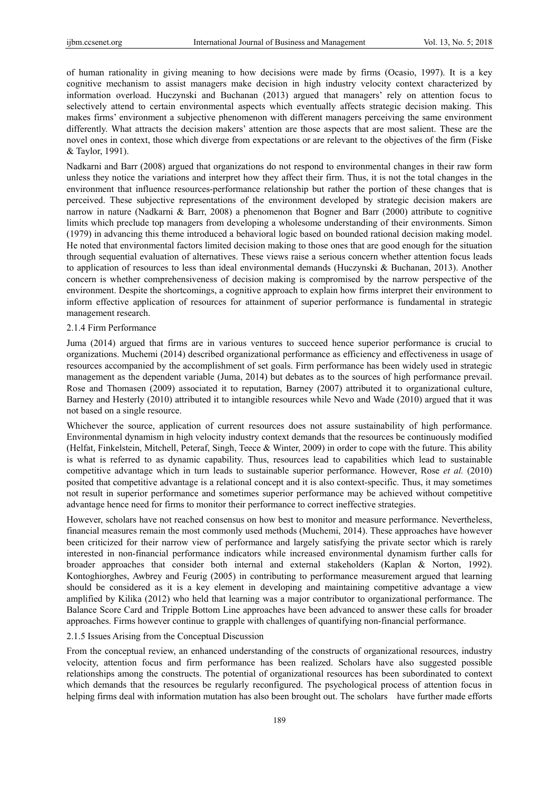of human rationality in giving meaning to how decisions were made by firms (Ocasio, 1997). It is a key cognitive mechanism to assist managers make decision in high industry velocity context characterized by information overload. Huczynski and Buchanan (2013) argued that managers' rely on attention focus to selectively attend to certain environmental aspects which eventually affects strategic decision making. This makes firms' environment a subjective phenomenon with different managers perceiving the same environment differently. What attracts the decision makers' attention are those aspects that are most salient. These are the novel ones in context, those which diverge from expectations or are relevant to the objectives of the firm (Fiske & Taylor, 1991).

Nadkarni and Barr (2008) argued that organizations do not respond to environmental changes in their raw form unless they notice the variations and interpret how they affect their firm. Thus, it is not the total changes in the environment that influence resources-performance relationship but rather the portion of these changes that is perceived. These subjective representations of the environment developed by strategic decision makers are narrow in nature (Nadkarni & Barr, 2008) a phenomenon that Bogner and Barr (2000) attribute to cognitive limits which preclude top managers from developing a wholesome understanding of their environments. Simon (1979) in advancing this theme introduced a behavioral logic based on bounded rational decision making model. He noted that environmental factors limited decision making to those ones that are good enough for the situation through sequential evaluation of alternatives. These views raise a serious concern whether attention focus leads to application of resources to less than ideal environmental demands (Huczynski & Buchanan, 2013). Another concern is whether comprehensiveness of decision making is compromised by the narrow perspective of the environment. Despite the shortcomings, a cognitive approach to explain how firms interpret their environment to inform effective application of resources for attainment of superior performance is fundamental in strategic management research.

## 2.1.4 Firm Performance

Juma (2014) argued that firms are in various ventures to succeed hence superior performance is crucial to organizations. Muchemi (2014) described organizational performance as efficiency and effectiveness in usage of resources accompanied by the accomplishment of set goals. Firm performance has been widely used in strategic management as the dependent variable (Juma, 2014) but debates as to the sources of high performance prevail. Rose and Thomasen (2009) associated it to reputation, Barney (2007) attributed it to organizational culture, Barney and Hesterly (2010) attributed it to intangible resources while Nevo and Wade (2010) argued that it was not based on a single resource.

Whichever the source, application of current resources does not assure sustainability of high performance. Environmental dynamism in high velocity industry context demands that the resources be continuously modified (Helfat, Finkelstein, Mitchell, Peteraf, Singh, Teece & Winter, 2009) in order to cope with the future. This ability is what is referred to as dynamic capability. Thus, resources lead to capabilities which lead to sustainable competitive advantage which in turn leads to sustainable superior performance. However, Rose *et al.* (2010) posited that competitive advantage is a relational concept and it is also context-specific. Thus, it may sometimes not result in superior performance and sometimes superior performance may be achieved without competitive advantage hence need for firms to monitor their performance to correct ineffective strategies.

However, scholars have not reached consensus on how best to monitor and measure performance. Nevertheless, financial measures remain the most commonly used methods (Muchemi, 2014). These approaches have however been criticized for their narrow view of performance and largely satisfying the private sector which is rarely interested in non-financial performance indicators while increased environmental dynamism further calls for broader approaches that consider both internal and external stakeholders (Kaplan & Norton, 1992). Kontoghiorghes, Awbrey and Feurig (2005) in contributing to performance measurement argued that learning should be considered as it is a key element in developing and maintaining competitive advantage a view amplified by Kilika (2012) who held that learning was a major contributor to organizational performance. The Balance Score Card and Tripple Bottom Line approaches have been advanced to answer these calls for broader approaches. Firms however continue to grapple with challenges of quantifying non-financial performance.

## 2.1.5 Issues Arising from the Conceptual Discussion

From the conceptual review, an enhanced understanding of the constructs of organizational resources, industry velocity, attention focus and firm performance has been realized. Scholars have also suggested possible relationships among the constructs. The potential of organizational resources has been subordinated to context which demands that the resources be regularly reconfigured. The psychological process of attention focus in helping firms deal with information mutation has also been brought out. The scholars have further made efforts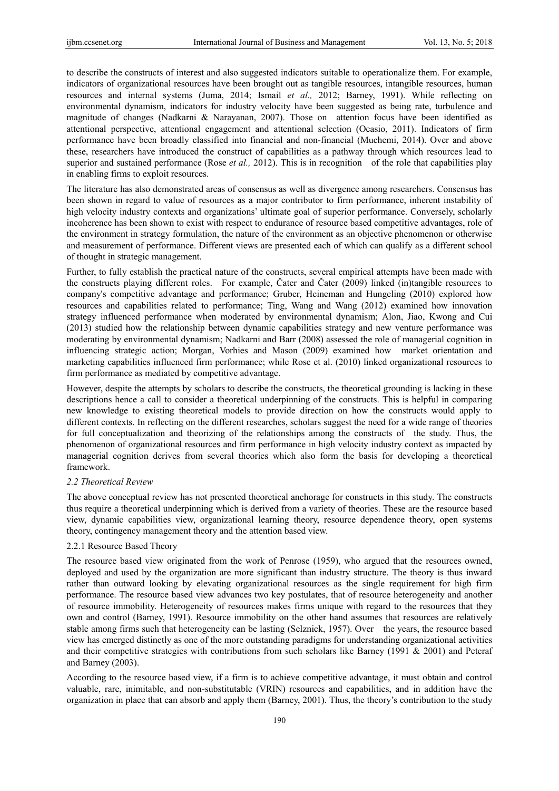to describe the constructs of interest and also suggested indicators suitable to operationalize them. For example, indicators of organizational resources have been brought out as tangible resources, intangible resources, human resources and internal systems (Juma, 2014; Ismail *et al.,* 2012; Barney, 1991). While reflecting on environmental dynamism, indicators for industry velocity have been suggested as being rate, turbulence and magnitude of changes (Nadkarni & Narayanan, 2007). Those on attention focus have been identified as attentional perspective, attentional engagement and attentional selection (Ocasio, 2011). Indicators of firm performance have been broadly classified into financial and non-financial (Muchemi, 2014). Over and above these, researchers have introduced the construct of capabilities as a pathway through which resources lead to superior and sustained performance (Rose *et al.*, 2012). This is in recognition of the role that capabilities play in enabling firms to exploit resources.

The literature has also demonstrated areas of consensus as well as divergence among researchers. Consensus has been shown in regard to value of resources as a major contributor to firm performance, inherent instability of high velocity industry contexts and organizations' ultimate goal of superior performance. Conversely, scholarly incoherence has been shown to exist with respect to endurance of resource based competitive advantages, role of the environment in strategy formulation, the nature of the environment as an objective phenomenon or otherwise and measurement of performance. Different views are presented each of which can qualify as a different school of thought in strategic management.

Further, to fully establish the practical nature of the constructs, several empirical attempts have been made with the constructs playing different roles. For example, Čater and Čater (2009) linked (in)tangible resources to company's competitive advantage and performance; Gruber, Heineman and Hungeling (2010) explored how resources and capabilities related to performance; Ting, Wang and Wang (2012) examined how innovation strategy influenced performance when moderated by environmental dynamism; Alon, Jiao, Kwong and Cui (2013) studied how the relationship between dynamic capabilities strategy and new venture performance was moderating by environmental dynamism; Nadkarni and Barr (2008) assessed the role of managerial cognition in influencing strategic action; Morgan, Vorhies and Mason (2009) examined how market orientation and marketing capabilities influenced firm performance; while Rose et al. (2010) linked organizational resources to firm performance as mediated by competitive advantage.

However, despite the attempts by scholars to describe the constructs, the theoretical grounding is lacking in these descriptions hence a call to consider a theoretical underpinning of the constructs. This is helpful in comparing new knowledge to existing theoretical models to provide direction on how the constructs would apply to different contexts. In reflecting on the different researches, scholars suggest the need for a wide range of theories for full conceptualization and theorizing of the relationships among the constructs of the study. Thus, the phenomenon of organizational resources and firm performance in high velocity industry context as impacted by managerial cognition derives from several theories which also form the basis for developing a theoretical framework.

## *2.2 Theoretical Review*

The above conceptual review has not presented theoretical anchorage for constructs in this study. The constructs thus require a theoretical underpinning which is derived from a variety of theories. These are the resource based view, dynamic capabilities view, organizational learning theory, resource dependence theory, open systems theory, contingency management theory and the attention based view.

## 2.2.1 Resource Based Theory

The resource based view originated from the work of Penrose (1959), who argued that the resources owned, deployed and used by the organization are more significant than industry structure. The theory is thus inward rather than outward looking by elevating organizational resources as the single requirement for high firm performance. The resource based view advances two key postulates, that of resource heterogeneity and another of resource immobility. Heterogeneity of resources makes firms unique with regard to the resources that they own and control (Barney, 1991). Resource immobility on the other hand assumes that resources are relatively stable among firms such that heterogeneity can be lasting (Selznick, 1957). Over the years, the resource based view has emerged distinctly as one of the more outstanding paradigms for understanding organizational activities and their competitive strategies with contributions from such scholars like Barney (1991 & 2001) and Peteraf and Barney (2003).

According to the resource based view, if a firm is to achieve competitive advantage, it must obtain and control valuable, rare, inimitable, and non-substitutable (VRIN) resources and capabilities, and in addition have the organization in place that can absorb and apply them (Barney, 2001). Thus, the theory's contribution to the study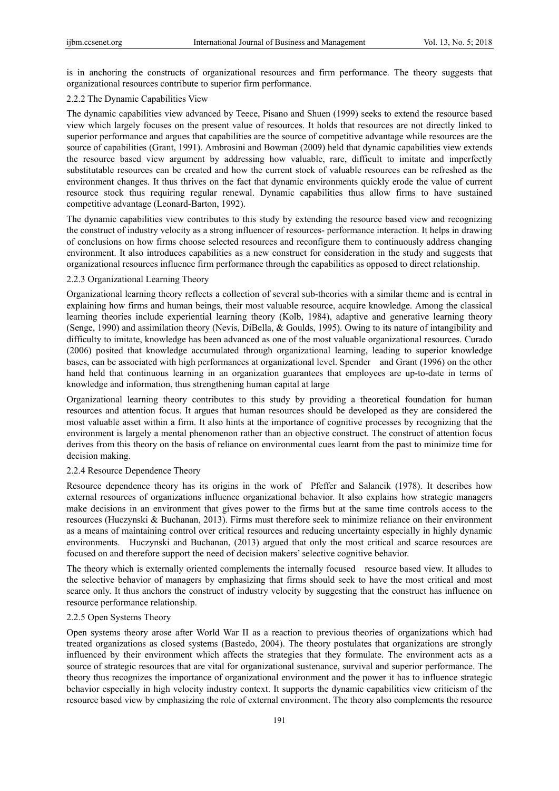is in anchoring the constructs of organizational resources and firm performance. The theory suggests that organizational resources contribute to superior firm performance.

## 2.2.2 The Dynamic Capabilities View

The dynamic capabilities view advanced by Teece, Pisano and Shuen (1999) seeks to extend the resource based view which largely focuses on the present value of resources. It holds that resources are not directly linked to superior performance and argues that capabilities are the source of competitive advantage while resources are the source of capabilities (Grant, 1991). Ambrosini and Bowman (2009) held that dynamic capabilities view extends the resource based view argument by addressing how valuable, rare, difficult to imitate and imperfectly substitutable resources can be created and how the current stock of valuable resources can be refreshed as the environment changes. It thus thrives on the fact that dynamic environments quickly erode the value of current resource stock thus requiring regular renewal. Dynamic capabilities thus allow firms to have sustained competitive advantage (Leonard-Barton, 1992).

The dynamic capabilities view contributes to this study by extending the resource based view and recognizing the construct of industry velocity as a strong influencer of resources- performance interaction. It helps in drawing of conclusions on how firms choose selected resources and reconfigure them to continuously address changing environment. It also introduces capabilities as a new construct for consideration in the study and suggests that organizational resources influence firm performance through the capabilities as opposed to direct relationship.

## 2.2.3 Organizational Learning Theory

Organizational learning theory reflects a collection of several sub-theories with a similar theme and is central in explaining how firms and human beings, their most valuable resource, acquire knowledge. Among the classical learning theories include experiential learning theory (Kolb, 1984), adaptive and generative learning theory (Senge, 1990) and assimilation theory (Nevis, DiBella, & Goulds, 1995). Owing to its nature of intangibility and difficulty to imitate, knowledge has been advanced as one of the most valuable organizational resources. Curado (2006) posited that knowledge accumulated through organizational learning, leading to superior knowledge bases, can be associated with high performances at organizational level. Spender and Grant (1996) on the other hand held that continuous learning in an organization guarantees that employees are up-to-date in terms of knowledge and information, thus strengthening human capital at large

Organizational learning theory contributes to this study by providing a theoretical foundation for human resources and attention focus. It argues that human resources should be developed as they are considered the most valuable asset within a firm. It also hints at the importance of cognitive processes by recognizing that the environment is largely a mental phenomenon rather than an objective construct. The construct of attention focus derives from this theory on the basis of reliance on environmental cues learnt from the past to minimize time for decision making.

## 2.2.4 Resource Dependence Theory

Resource dependence theory has its origins in the work of Pfeffer and Salancik (1978). It describes how external resources of organizations influence organizational behavior. It also explains how strategic managers make decisions in an environment that gives power to the firms but at the same time controls access to the resources (Huczynski & Buchanan, 2013). Firms must therefore seek to minimize reliance on their environment as a means of maintaining control over critical resources and reducing uncertainty especially in highly dynamic environments. Huczynski and Buchanan, (2013) argued that only the most critical and scarce resources are focused on and therefore support the need of decision makers' selective cognitive behavior.

The theory which is externally oriented complements the internally focused resource based view. It alludes to the selective behavior of managers by emphasizing that firms should seek to have the most critical and most scarce only. It thus anchors the construct of industry velocity by suggesting that the construct has influence on resource performance relationship.

## 2.2.5 Open Systems Theory

Open systems theory arose after World War II as a reaction to previous theories of organizations which had treated organizations as closed systems (Bastedo, 2004). The theory postulates that organizations are strongly influenced by their environment which affects the strategies that they formulate. The environment acts as a source of strategic resources that are vital for organizational sustenance, survival and superior performance. The theory thus recognizes the importance of organizational environment and the power it has to influence strategic behavior especially in high velocity industry context. It supports the dynamic capabilities view criticism of the resource based view by emphasizing the role of external environment. The theory also complements the resource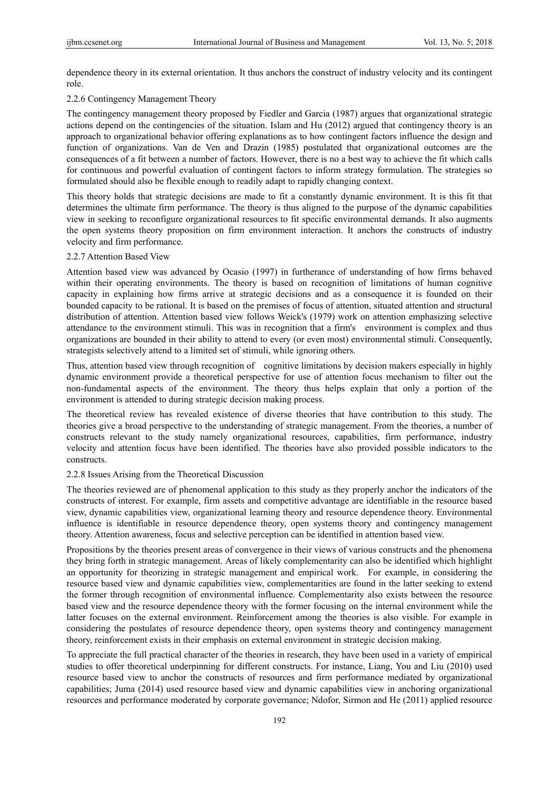dependence theory in its external orientation. It thus anchors the construct of industry velocity and its contingent role.

#### 2.2.6 Contingency Management Theory

The contingency management theory proposed by Fiedler and Garcia (1987) argues that organizational strategic actions depend on the contingencies of the situation. Islam and Hu (2012) argued that contingency theory is an approach to organizational behavior offering explanations as to how contingent factors influence the design and function of organizations. Van de Ven and Drazin (1985) postulated that organizational outcomes are the consequences of a fit between a number of factors. However, there is no a best way to achieve the fit which calls for continuous and powerful evaluation of contingent factors to inform strategy formulation. The strategies so formulated should also be flexible enough to readily adapt to rapidly changing context.

This theory holds that strategic decisions are made to fit a constantly dynamic environment. It is this fit that determines the ultimate firm performance. The theory is thus aligned to the purpose of the dynamic capabilities view in seeking to reconfigure organizational resources to fit specific environmental demands. It also augments the open systems theory proposition on firm environment interaction. It anchors the constructs of industry velocity and firm performance.

#### 2.2.7 Attention Based View

Attention based view was advanced by Ocasio (1997) in furtherance of understanding of how firms behaved within their operating environments. The theory is based on recognition of limitations of human cognitive capacity in explaining how firms arrive at strategic decisions and as a consequence it is founded on their bounded capacity to be rational. It is based on the premises of focus of attention, situated attention and structural distribution of attention. Attention based view follows Weick's (1979) work on attention emphasizing selective attendance to the environment stimuli. This was in recognition that a firm's environment is complex and thus organizations are bounded in their ability to attend to every (or even most) environmental stimuli. Consequently, strategists selectively attend to a limited set of stimuli, while ignoring others.

Thus, attention based view through recognition of cognitive limitations by decision makers especially in highly dynamic environment provide a theoretical perspective for use of attention focus mechanism to filter out the non-fundamental aspects of the environment. The theory thus helps explain that only a portion of the environment is attended to during strategic decision making process.

The theoretical review has revealed existence of diverse theories that have contribution to this study. The theories give a broad perspective to the understanding of strategic management. From the theories, a number of constructs relevant to the study namely organizational resources, capabilities, firm performance, industry velocity and attention focus have been identified. The theories have also provided possible indicators to the constructs.

#### 2.2.8 Issues Arising from the Theoretical Discussion

The theories reviewed are of phenomenal application to this study as they properly anchor the indicators of the constructs of interest. For example, firm assets and competitive advantage are identifiable in the resource based view, dynamic capabilities view, organizational learning theory and resource dependence theory. Environmental influence is identifiable in resource dependence theory, open systems theory and contingency management theory. Attention awareness, focus and selective perception can be identified in attention based view.

Propositions by the theories present areas of convergence in their views of various constructs and the phenomena they bring forth in strategic management. Areas of likely complementarity can also be identified which highlight an opportunity for theorizing in strategic management and empirical work. For example, in considering the resource based view and dynamic capabilities view, complementarities are found in the latter seeking to extend the former through recognition of environmental influence. Complementarity also exists between the resource based view and the resource dependence theory with the former focusing on the internal environment while the latter focuses on the external environment. Reinforcement among the theories is also visible. For example in considering the postulates of resource dependence theory, open systems theory and contingency management theory, reinforcement exists in their emphasis on external environment in strategic decision making.

To appreciate the full practical character of the theories in research, they have been used in a variety of empirical studies to offer theoretical underpinning for different constructs. For instance, Liang, You and Liu (2010) used resource based view to anchor the constructs of resources and firm performance mediated by organizational capabilities; Juma (2014) used resource based view and dynamic capabilities view in anchoring organizational resources and performance moderated by corporate governance; Ndofor, Sirmon and He (2011) applied resource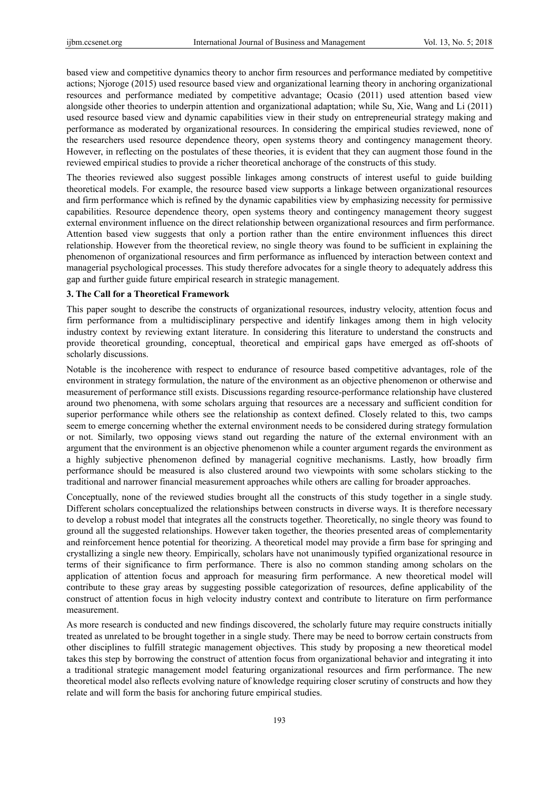based view and competitive dynamics theory to anchor firm resources and performance mediated by competitive actions; Njoroge (2015) used resource based view and organizational learning theory in anchoring organizational resources and performance mediated by competitive advantage; Ocasio (2011) used attention based view alongside other theories to underpin attention and organizational adaptation; while Su, Xie, Wang and Li (2011) used resource based view and dynamic capabilities view in their study on entrepreneurial strategy making and performance as moderated by organizational resources. In considering the empirical studies reviewed, none of the researchers used resource dependence theory, open systems theory and contingency management theory. However, in reflecting on the postulates of these theories, it is evident that they can augment those found in the reviewed empirical studies to provide a richer theoretical anchorage of the constructs of this study.

The theories reviewed also suggest possible linkages among constructs of interest useful to guide building theoretical models. For example, the resource based view supports a linkage between organizational resources and firm performance which is refined by the dynamic capabilities view by emphasizing necessity for permissive capabilities. Resource dependence theory, open systems theory and contingency management theory suggest external environment influence on the direct relationship between organizational resources and firm performance. Attention based view suggests that only a portion rather than the entire environment influences this direct relationship. However from the theoretical review, no single theory was found to be sufficient in explaining the phenomenon of organizational resources and firm performance as influenced by interaction between context and managerial psychological processes. This study therefore advocates for a single theory to adequately address this gap and further guide future empirical research in strategic management.

## **3. The Call for a Theoretical Framework**

This paper sought to describe the constructs of organizational resources, industry velocity, attention focus and firm performance from a multidisciplinary perspective and identify linkages among them in high velocity industry context by reviewing extant literature. In considering this literature to understand the constructs and provide theoretical grounding, conceptual, theoretical and empirical gaps have emerged as off-shoots of scholarly discussions.

Notable is the incoherence with respect to endurance of resource based competitive advantages, role of the environment in strategy formulation, the nature of the environment as an objective phenomenon or otherwise and measurement of performance still exists. Discussions regarding resource-performance relationship have clustered around two phenomena, with some scholars arguing that resources are a necessary and sufficient condition for superior performance while others see the relationship as context defined. Closely related to this, two camps seem to emerge concerning whether the external environment needs to be considered during strategy formulation or not. Similarly, two opposing views stand out regarding the nature of the external environment with an argument that the environment is an objective phenomenon while a counter argument regards the environment as a highly subjective phenomenon defined by managerial cognitive mechanisms. Lastly, how broadly firm performance should be measured is also clustered around two viewpoints with some scholars sticking to the traditional and narrower financial measurement approaches while others are calling for broader approaches.

Conceptually, none of the reviewed studies brought all the constructs of this study together in a single study. Different scholars conceptualized the relationships between constructs in diverse ways. It is therefore necessary to develop a robust model that integrates all the constructs together. Theoretically, no single theory was found to ground all the suggested relationships. However taken together, the theories presented areas of complementarity and reinforcement hence potential for theorizing. A theoretical model may provide a firm base for springing and crystallizing a single new theory. Empirically, scholars have not unanimously typified organizational resource in terms of their significance to firm performance. There is also no common standing among scholars on the application of attention focus and approach for measuring firm performance. A new theoretical model will contribute to these gray areas by suggesting possible categorization of resources, define applicability of the construct of attention focus in high velocity industry context and contribute to literature on firm performance measurement.

As more research is conducted and new findings discovered, the scholarly future may require constructs initially treated as unrelated to be brought together in a single study. There may be need to borrow certain constructs from other disciplines to fulfill strategic management objectives. This study by proposing a new theoretical model takes this step by borrowing the construct of attention focus from organizational behavior and integrating it into a traditional strategic management model featuring organizational resources and firm performance. The new theoretical model also reflects evolving nature of knowledge requiring closer scrutiny of constructs and how they relate and will form the basis for anchoring future empirical studies.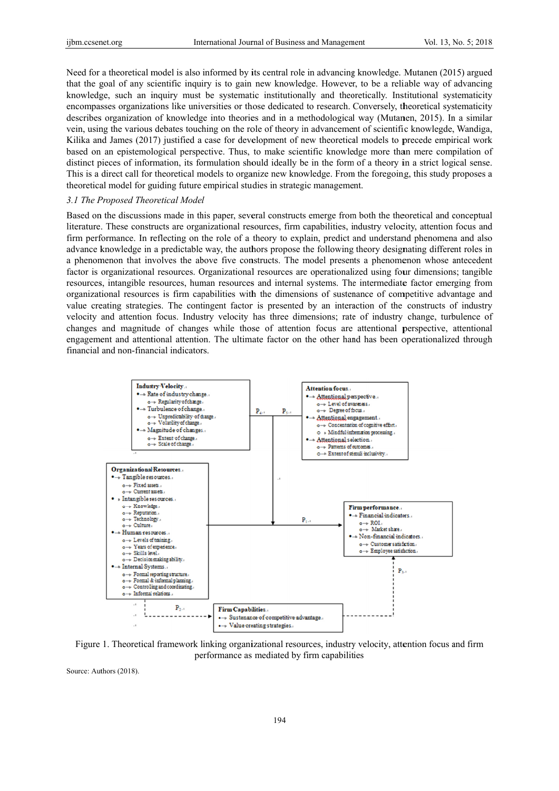Need for a theoretical model is also informed by its central role in advancing knowledge. Mutanen (2015) argued that the goal of any scientific inquiry is to gain new knowledge. However, to be a reliable way of advancing knowledge, such an inquiry must be systematic institutionally and theoretically. Institutional systematicity encompasses organizations like universities or those dedicated to research. Conversely, theoretical systematicity describes organization of knowledge into theories and in a methodological way (Mutanen, 2015). In a similar vein, using the various debates touching on the role of theory in advancement of scientific knowlegde, Wandiga, Kilika and James (2017) justified a case for development of new theoretical models to precede empirical work based on an epistemological perspective. Thus, to make scientific knowledge more than mere compilation of distinct pieces of information, its formulation should ideally be in the form of a theory in a strict logical sense. This is a direct call for theoretical models to organize new knowledge. From the foregoing, this study proposes a theoretical model for guiding future empirical studies in strategic management.

## 3.1 The Proposed Theoretical Model

Based on the discussions made in this paper, several constructs emerge from both the theoretical and conceptual literature. These constructs are organizational resources, firm capabilities, industry velocity, attention focus and firm performance. In reflecting on the role of a theory to explain, predict and understand phenomena and also advance knowledge in a predictable way, the authors propose the following theory designating different roles in a phenomenon that involves the above five constructs. The model presents a phenomenon whose antecedent factor is organizational resources. Organizational resources are operationalized using four dimensions; tangible resources, intangible resources, human resources and internal systems. The intermediate factor emerging from organizational resources is firm capabilities with the dimensions of sustenance of competitive advantage and value creating strategies. The contingent factor is presented by an interaction of the constructs of industry velocity and attention focus. Industry velocity has three dimensions; rate of industry change, turbulence of changes and magnitude of changes while those of attention focus are attentional perspective, attentional engagement and attentional attention. The ultimate factor on the other hand has been operationalized through financial and non-financial indicators.



Figure 1. Theoretical framework linking organizational resources, industry velocity, attention focus and firm performance as mediated by firm capabilities

Source: Authors (2018).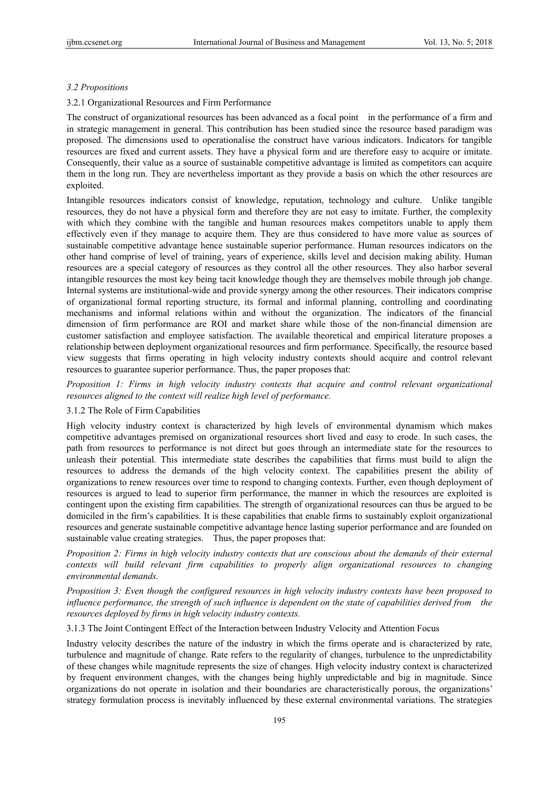#### *3.2 Propositions*

## 3.2.1 Organizational Resources and Firm Performance

The construct of organizational resources has been advanced as a focal point in the performance of a firm and in strategic management in general. This contribution has been studied since the resource based paradigm was proposed. The dimensions used to operationalise the construct have various indicators. Indicators for tangible resources are fixed and current assets. They have a physical form and are therefore easy to acquire or imitate. Consequently, their value as a source of sustainable competitive advantage is limited as competitors can acquire them in the long run. They are nevertheless important as they provide a basis on which the other resources are exploited.

Intangible resources indicators consist of knowledge, reputation, technology and culture. Unlike tangible resources, they do not have a physical form and therefore they are not easy to imitate. Further, the complexity with which they combine with the tangible and human resources makes competitors unable to apply them effectively even if they manage to acquire them. They are thus considered to have more value as sources of sustainable competitive advantage hence sustainable superior performance. Human resources indicators on the other hand comprise of level of training, years of experience, skills level and decision making ability. Human resources are a special category of resources as they control all the other resources. They also harbor several intangible resources the most key being tacit knowledge though they are themselves mobile through job change. Internal systems are institutional-wide and provide synergy among the other resources. Their indicators comprise of organizational formal reporting structure, its formal and informal planning, controlling and coordinating mechanisms and informal relations within and without the organization. The indicators of the financial dimension of firm performance are ROI and market share while those of the non-financial dimension are customer satisfaction and employee satisfaction. The available theoretical and empirical literature proposes a relationship between deployment organizational resources and firm performance. Specifically, the resource based view suggests that firms operating in high velocity industry contexts should acquire and control relevant resources to guarantee superior performance. Thus, the paper proposes that:

*Proposition 1: Firms in high velocity industry contexts that acquire and control relevant organizational resources aligned to the context will realize high level of performance.* 

#### 3.1.2 The Role of Firm Capabilities

High velocity industry context is characterized by high levels of environmental dynamism which makes competitive advantages premised on organizational resources short lived and easy to erode. In such cases, the path from resources to performance is not direct but goes through an intermediate state for the resources to unleash their potential. This intermediate state describes the capabilities that firms must build to align the resources to address the demands of the high velocity context. The capabilities present the ability of organizations to renew resources over time to respond to changing contexts. Further, even though deployment of resources is argued to lead to superior firm performance, the manner in which the resources are exploited is contingent upon the existing firm capabilities. The strength of organizational resources can thus be argued to be domiciled in the firm's capabilities. It is these capabilities that enable firms to sustainably exploit organizational resources and generate sustainable competitive advantage hence lasting superior performance and are founded on sustainable value creating strategies. Thus, the paper proposes that:

*Proposition 2: Firms in high velocity industry contexts that are conscious about the demands of their external contexts will build relevant firm capabilities to properly align organizational resources to changing environmental demands.* 

*Proposition 3: Even though the configured resources in high velocity industry contexts have been proposed to influence performance, the strength of such influence is dependent on the state of capabilities derived from the resources deployed by firms in high velocity industry contexts.* 

3.1.3 The Joint Contingent Effect of the Interaction between Industry Velocity and Attention Focus

Industry velocity describes the nature of the industry in which the firms operate and is characterized by rate, turbulence and magnitude of change. Rate refers to the regularity of changes, turbulence to the unpredictability of these changes while magnitude represents the size of changes. High velocity industry context is characterized by frequent environment changes, with the changes being highly unpredictable and big in magnitude. Since organizations do not operate in isolation and their boundaries are characteristically porous, the organizations' strategy formulation process is inevitably influenced by these external environmental variations. The strategies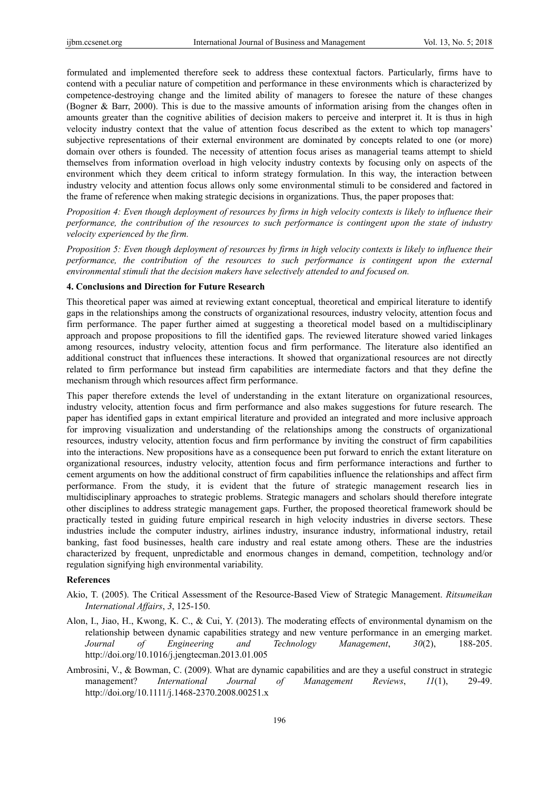formulated and implemented therefore seek to address these contextual factors. Particularly, firms have to contend with a peculiar nature of competition and performance in these environments which is characterized by competence-destroying change and the limited ability of managers to foresee the nature of these changes (Bogner & Barr, 2000). This is due to the massive amounts of information arising from the changes often in amounts greater than the cognitive abilities of decision makers to perceive and interpret it. It is thus in high velocity industry context that the value of attention focus described as the extent to which top managers' subjective representations of their external environment are dominated by concepts related to one (or more) domain over others is founded. The necessity of attention focus arises as managerial teams attempt to shield themselves from information overload in high velocity industry contexts by focusing only on aspects of the environment which they deem critical to inform strategy formulation. In this way, the interaction between industry velocity and attention focus allows only some environmental stimuli to be considered and factored in the frame of reference when making strategic decisions in organizations. Thus, the paper proposes that:

*Proposition 4: Even though deployment of resources by firms in high velocity contexts is likely to influence their performance, the contribution of the resources to such performance is contingent upon the state of industry velocity experienced by the firm.* 

*Proposition 5: Even though deployment of resources by firms in high velocity contexts is likely to influence their performance, the contribution of the resources to such performance is contingent upon the external environmental stimuli that the decision makers have selectively attended to and focused on.*

## **4. Conclusions and Direction for Future Research**

This theoretical paper was aimed at reviewing extant conceptual, theoretical and empirical literature to identify gaps in the relationships among the constructs of organizational resources, industry velocity, attention focus and firm performance. The paper further aimed at suggesting a theoretical model based on a multidisciplinary approach and propose propositions to fill the identified gaps. The reviewed literature showed varied linkages among resources, industry velocity, attention focus and firm performance. The literature also identified an additional construct that influences these interactions. It showed that organizational resources are not directly related to firm performance but instead firm capabilities are intermediate factors and that they define the mechanism through which resources affect firm performance.

This paper therefore extends the level of understanding in the extant literature on organizational resources, industry velocity, attention focus and firm performance and also makes suggestions for future research. The paper has identified gaps in extant empirical literature and provided an integrated and more inclusive approach for improving visualization and understanding of the relationships among the constructs of organizational resources, industry velocity, attention focus and firm performance by inviting the construct of firm capabilities into the interactions. New propositions have as a consequence been put forward to enrich the extant literature on organizational resources, industry velocity, attention focus and firm performance interactions and further to cement arguments on how the additional construct of firm capabilities influence the relationships and affect firm performance. From the study, it is evident that the future of strategic management research lies in multidisciplinary approaches to strategic problems. Strategic managers and scholars should therefore integrate other disciplines to address strategic management gaps. Further, the proposed theoretical framework should be practically tested in guiding future empirical research in high velocity industries in diverse sectors. These industries include the computer industry, airlines industry, insurance industry, informational industry, retail banking, fast food businesses, health care industry and real estate among others. These are the industries characterized by frequent, unpredictable and enormous changes in demand, competition, technology and/or regulation signifying high environmental variability.

## **References**

- Akio, T. (2005). The Critical Assessment of the Resource-Based View of Strategic Management. *Ritsumeikan International Affairs*, *3*, 125-150.
- Alon, I., Jiao, H., Kwong, K. C., & Cui, Y. (2013). The moderating effects of environmental dynamism on the relationship between dynamic capabilities strategy and new venture performance in an emerging market. *Journal of Engineering and Technology Management*, *30*(2), 188-205. http://doi.org/10.1016/j.jengtecman.2013.01.005
- Ambrosini, V., & Bowman, C. (2009). What are dynamic capabilities and are they a useful construct in strategic management? *International Journal of Management Reviews*, *11*(1), 29-49. http://doi.org/10.1111/j.1468-2370.2008.00251.x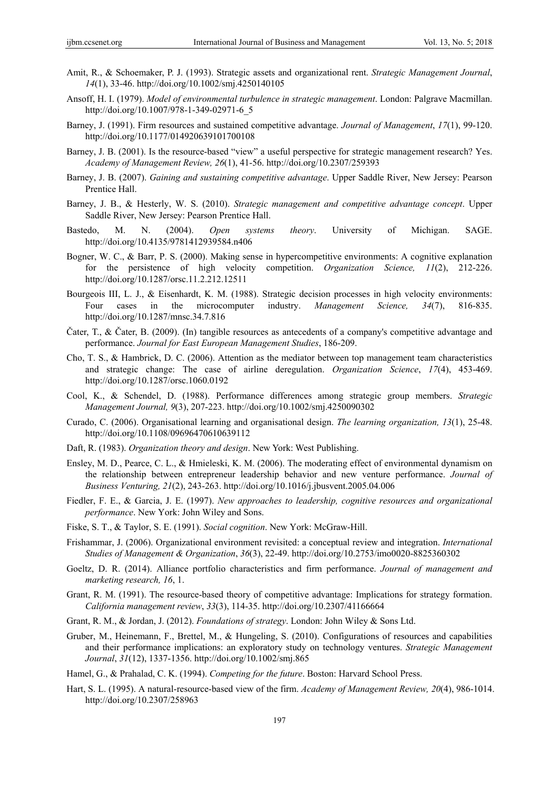- Amit, R., & Schoemaker, P. J. (1993). Strategic assets and organizational rent. *Strategic Management Journal*, *14*(1), 33-46. http://doi.org/10.1002/smj.4250140105
- Ansoff, H. I. (1979). *Model of environmental turbulence in strategic management*. London: Palgrave Macmillan. http://doi.org/10.1007/978-1-349-02971-6\_5
- Barney, J. (1991). Firm resources and sustained competitive advantage. *Journal of Management*, *17*(1), 99-120. http://doi.org/10.1177/014920639101700108
- Barney, J. B. (2001). Is the resource-based "view" a useful perspective for strategic management research? Yes. *Academy of Management Review, 26*(1), 41-56. http://doi.org/10.2307/259393
- Barney, J. B. (2007). *Gaining and sustaining competitive advantage*. Upper Saddle River, New Jersey: Pearson Prentice Hall.
- Barney, J. B., & Hesterly, W. S. (2010). *Strategic management and competitive advantage concept*. Upper Saddle River, New Jersey: Pearson Prentice Hall.
- Bastedo, M. N. (2004). *Open systems theory*. University of Michigan. SAGE. http://doi.org/10.4135/9781412939584.n406
- Bogner, W. C., & Barr, P. S. (2000). Making sense in hypercompetitive environments: A cognitive explanation for the persistence of high velocity competition. *Organization Science, 11*(2), 212-226. http://doi.org/10.1287/orsc.11.2.212.12511
- Bourgeois III, L. J., & Eisenhardt, K. M. (1988). Strategic decision processes in high velocity environments: Four cases in the microcomputer industry. *Management Science, 34*(7), 816-835. http://doi.org/10.1287/mnsc.34.7.816
- Čater, T., & Čater, B. (2009). (In) tangible resources as antecedents of a company's competitive advantage and performance. *Journal for East European Management Studies*, 186-209.
- Cho, T. S., & Hambrick, D. C. (2006). Attention as the mediator between top management team characteristics and strategic change: The case of airline deregulation. *Organization Science*, *17*(4), 453-469. http://doi.org/10.1287/orsc.1060.0192
- Cool, K., & Schendel, D. (1988). Performance differences among strategic group members. *Strategic Management Journal, 9*(3), 207-223. http://doi.org/10.1002/smj.4250090302
- Curado, C. (2006). Organisational learning and organisational design. *The learning organization, 13*(1), 25-48. http://doi.org/10.1108/09696470610639112
- Daft, R. (1983). *Organization theory and design*. New York: West Publishing.
- Ensley, M. D., Pearce, C. L., & Hmieleski, K. M. (2006). The moderating effect of environmental dynamism on the relationship between entrepreneur leadership behavior and new venture performance. *Journal of Business Venturing, 21*(2), 243-263. http://doi.org/10.1016/j.jbusvent.2005.04.006
- Fiedler, F. E., & Garcia, J. E. (1997). *New approaches to leadership, cognitive resources and organizational performance*. New York: John Wiley and Sons.
- Fiske, S. T., & Taylor, S. E. (1991). *Social cognition*. New York: McGraw-Hill.
- Frishammar, J. (2006). Organizational environment revisited: a conceptual review and integration. *International Studies of Management & Organization*, *36*(3), 22-49. http://doi.org/10.2753/imo0020-8825360302
- Goeltz, D. R. (2014). Alliance portfolio characteristics and firm performance. *Journal of management and marketing research, 16*, 1.
- Grant, R. M. (1991). The resource-based theory of competitive advantage: Implications for strategy formation. *California management review*, *33*(3), 114-35. http://doi.org/10.2307/41166664
- Grant, R. M., & Jordan, J. (2012). *Foundations of strategy*. London: John Wiley & Sons Ltd.
- Gruber, M., Heinemann, F., Brettel, M., & Hungeling, S. (2010). Configurations of resources and capabilities and their performance implications: an exploratory study on technology ventures. *Strategic Management Journal*, *31*(12), 1337-1356. http://doi.org/10.1002/smj.865

Hamel, G., & Prahalad, C. K. (1994). *Competing for the future*. Boston: Harvard School Press.

Hart, S. L. (1995). A natural-resource-based view of the firm. *Academy of Management Review, 20*(4), 986-1014. http://doi.org/10.2307/258963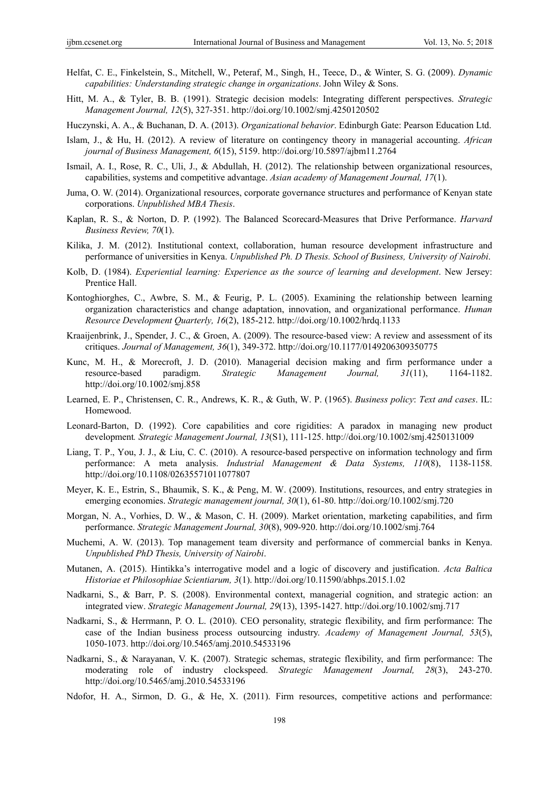- Helfat, C. E., Finkelstein, S., Mitchell, W., Peteraf, M., Singh, H., Teece, D., & Winter, S. G. (2009). *Dynamic capabilities: Understanding strategic change in organizations*. John Wiley & Sons.
- Hitt, M. A., & Tyler, B. B. (1991). Strategic decision models: Integrating different perspectives. *Strategic Management Journal, 12*(5), 327-351. http://doi.org/10.1002/smj.4250120502

Huczynski, A. A., & Buchanan, D. A. (2013). *Organizational behavior*. Edinburgh Gate: Pearson Education Ltd.

- Islam, J., & Hu, H. (2012). A review of literature on contingency theory in managerial accounting. *African journal of Business Management, 6*(15), 5159. http://doi.org/10.5897/ajbm11.2764
- Ismail, A. I., Rose, R. C., Uli, J., & Abdullah, H. (2012). The relationship between organizational resources, capabilities, systems and competitive advantage. *Asian academy of Management Journal, 17*(1).
- Juma, O. W. (2014). Organizational resources, corporate governance structures and performance of Kenyan state corporations. *Unpublished MBA Thesis*.
- Kaplan, R. S., & Norton, D. P. (1992). The Balanced Scorecard-Measures that Drive Performance. *Harvard Business Review, 70*(1).
- Kilika, J. M. (2012). Institutional context, collaboration, human resource development infrastructure and performance of universities in Kenya. *Unpublished Ph. D Thesis. School of Business, University of Nairobi*.
- Kolb, D. (1984). *Experiential learning: Experience as the source of learning and development*. New Jersey: Prentice Hall.
- Kontoghiorghes, C., Awbre, S. M., & Feurig, P. L. (2005). Examining the relationship between learning organization characteristics and change adaptation, innovation, and organizational performance. *Human Resource Development Quarterly, 16*(2), 185-212. http://doi.org/10.1002/hrdq.1133
- Kraaijenbrink, J., Spender, J. C., & Groen, A. (2009). The resource-based view: A review and assessment of its critiques. *Journal of Management, 36*(1), 349-372. http://doi.org/10.1177/0149206309350775
- Kunc, M. H., & Morecroft, J. D. (2010). Managerial decision making and firm performance under a resource‐based paradigm. *Strategic Management Journal, 31*(11), 1164-1182. http://doi.org/10.1002/smj.858
- Learned, E. P., Christensen, C. R., Andrews, K. R., & Guth, W. P. (1965). *Business policy*: *Text and cases*. IL: Homewood.
- Leonard‐Barton, D. (1992). Core capabilities and core rigidities: A paradox in managing new product development*. Strategic Management Journal, 13*(S1), 111-125. http://doi.org/10.1002/smj.4250131009
- Liang, T. P., You, J. J., & Liu, C. C. (2010). A resource-based perspective on information technology and firm performance: A meta analysis. *Industrial Management & Data Systems, 110*(8), 1138-1158. http://doi.org/10.1108/02635571011077807
- Meyer, K. E., Estrin, S., Bhaumik, S. K., & Peng, M. W. (2009). Institutions, resources, and entry strategies in emerging economies. *Strategic management journal, 30*(1), 61-80. http://doi.org/10.1002/smj.720
- Morgan, N. A., Vorhies, D. W., & Mason, C. H. (2009). Market orientation, marketing capabilities, and firm performance. *Strategic Management Journal, 30*(8), 909-920. http://doi.org/10.1002/smj.764
- Muchemi, A. W. (2013). Top management team diversity and performance of commercial banks in Kenya. *Unpublished PhD Thesis, University of Nairobi*.
- Mutanen, A. (2015). Hintikka's interrogative model and a logic of discovery and justification. *Acta Baltica Historiae et Philosophiae Scientiarum, 3*(1). http://doi.org/10.11590/abhps.2015.1.02
- Nadkarni, S., & Barr, P. S. (2008). Environmental context, managerial cognition, and strategic action: an integrated view. *Strategic Management Journal, 29*(13), 1395-1427. http://doi.org/10.1002/smj.717
- Nadkarni, S., & Herrmann, P. O. L. (2010). CEO personality, strategic flexibility, and firm performance: The case of the Indian business process outsourcing industry. *Academy of Management Journal, 53*(5), 1050-1073. http://doi.org/10.5465/amj.2010.54533196
- Nadkarni, S., & Narayanan, V. K. (2007). Strategic schemas, strategic flexibility, and firm performance: The moderating role of industry clockspeed. *Strategic Management Journal, 28*(3), 243-270. http://doi.org/10.5465/amj.2010.54533196
- Ndofor, H. A., Sirmon, D. G., & He, X. (2011). Firm resources, competitive actions and performance: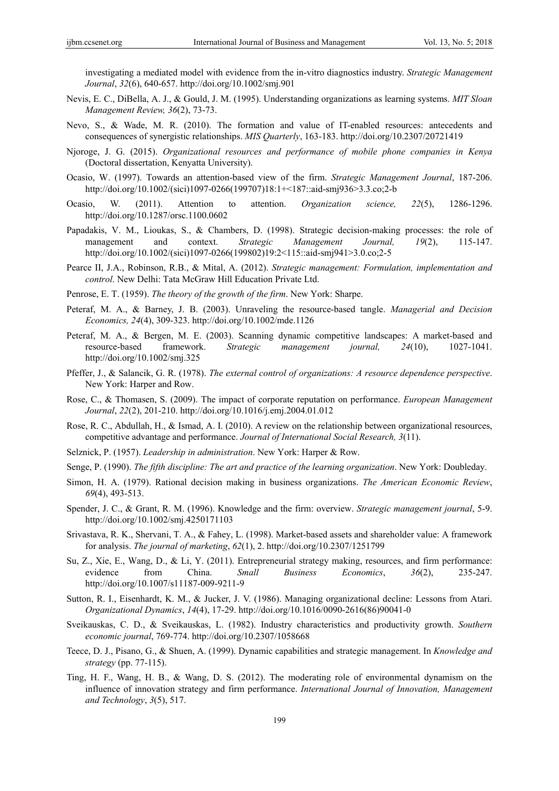investigating a mediated model with evidence from the in‐vitro diagnostics industry. *Strategic Management Journal*, *32*(6), 640-657. http://doi.org/10.1002/smj.901

- Nevis, E. C., DiBella, A. J., & Gould, J. M. (1995). Understanding organizations as learning systems. *MIT Sloan Management Review, 36*(2), 73-73.
- Nevo, S., & Wade, M. R. (2010). The formation and value of IT-enabled resources: antecedents and consequences of synergistic relationships. *MIS Quarterly*, 163-183. http://doi.org/10.2307/20721419
- Njoroge, J. G. (2015). *Organizational resources and performance of mobile phone companies in Kenya* (Doctoral dissertation, Kenyatta University).
- Ocasio, W. (1997). Towards an attention-based view of the firm. *Strategic Management Journal*, 187-206. http://doi.org/10.1002/(sici)1097-0266(199707)18:1+<187::aid-smj936>3.3.co;2-b
- Ocasio, W. (2011). Attention to attention. *Organization science, 22*(5), 1286-1296. http://doi.org/10.1287/orsc.1100.0602
- Papadakis, V. M., Lioukas, S., & Chambers, D. (1998). Strategic decision-making processes: the role of management and context. *Strategic Management Journal, 19*(2), 115-147. http://doi.org/10.1002/(sici)1097-0266(199802)19:2<115::aid-smj941>3.0.co;2-5
- Pearce II, J.A., Robinson, R.B., & Mital, A. (2012). *Strategic management: Formulation, implementation and control*. New Delhi: Tata McGraw Hill Education Private Ltd.
- Penrose, E. T. (1959). *The theory of the growth of the firm*. New York: Sharpe.
- Peteraf, M. A., & Barney, J. B. (2003). Unraveling the resource‐based tangle. *Managerial and Decision Economics, 24*(4), 309-323. http://doi.org/10.1002/mde.1126
- Peteraf, M. A., & Bergen, M. E. (2003). Scanning dynamic competitive landscapes: A market‐based and resource‐based framework. *Strategic management journal, 24*(10), 1027-1041. http://doi.org/10.1002/smj.325
- Pfeffer, J., & Salancik, G. R. (1978). *The external control of organizations: A resource dependence perspective*. New York: Harper and Row.
- Rose, C., & Thomasen, S. (2009). The impact of corporate reputation on performance. *European Management Journal*, *22*(2), 201-210. http://doi.org/10.1016/j.emj.2004.01.012
- Rose, R. C., Abdullah, H., & Ismad, A. I. (2010). A review on the relationship between organizational resources, competitive advantage and performance. *Journal of International Social Research, 3*(11).
- Selznick, P. (1957). *Leadership in administration*. New York: Harper & Row.
- Senge, P. (1990). *The fifth discipline: The art and practice of the learning organization*. New York: Doubleday.
- Simon, H. A. (1979). Rational decision making in business organizations. *The American Economic Review*, *69*(4), 493-513.
- Spender, J. C., & Grant, R. M. (1996). Knowledge and the firm: overview. *Strategic management journal*, 5-9. http://doi.org/10.1002/smj.4250171103
- Srivastava, R. K., Shervani, T. A., & Fahey, L. (1998). Market-based assets and shareholder value: A framework for analysis. *The journal of marketing*, *62*(1), 2. http://doi.org/10.2307/1251799
- Su, Z., Xie, E., Wang, D., & Li, Y. (2011). Entrepreneurial strategy making, resources, and firm performance: evidence from China. *Small Business Economics*, *36*(2), 235-247. http://doi.org/10.1007/s11187-009-9211-9
- Sutton, R. I., Eisenhardt, K. M., & Jucker, J. V. (1986). Managing organizational decline: Lessons from Atari. *Organizational Dynamics*, *14*(4), 17-29. http://doi.org/10.1016/0090-2616(86)90041-0
- Sveikauskas, C. D., & Sveikauskas, L. (1982). Industry characteristics and productivity growth. *Southern economic journal*, 769-774. http://doi.org/10.2307/1058668
- Teece, D. J., Pisano, G., & Shuen, A. (1999). Dynamic capabilities and strategic management. In *Knowledge and strategy* (pp. 77-115).
- Ting, H. F., Wang, H. B., & Wang, D. S. (2012). The moderating role of environmental dynamism on the influence of innovation strategy and firm performance. *International Journal of Innovation, Management and Technology*, *3*(5), 517.